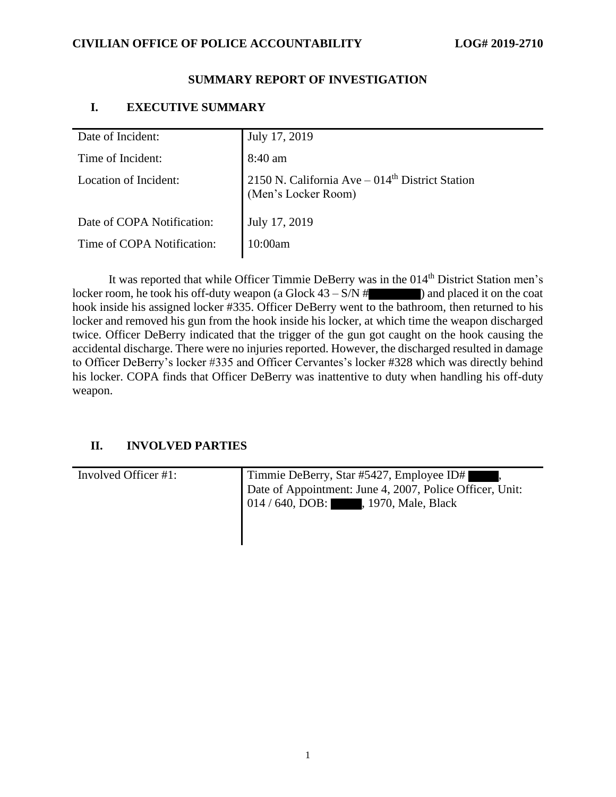### **CIVILIAN OFFICE OF POLICE ACCOUNTABILITY LOG# 2019-2710**

#### **SUMMARY REPORT OF INVESTIGATION**

### **I. EXECUTIVE SUMMARY**

| Date of Incident:          | July 17, 2019                                                           |
|----------------------------|-------------------------------------------------------------------------|
| Time of Incident:          | 8:40 am                                                                 |
| Location of Incident:      | 2150 N. California Ave $-014th$ District Station<br>(Men's Locker Room) |
| Date of COPA Notification: | July 17, 2019                                                           |
| Time of COPA Notification: | 10:00am                                                                 |
|                            |                                                                         |

It was reported that while Officer Timmie DeBerry was in the 014<sup>th</sup> District Station men's locker room, he took his off-duty weapon (a Glock  $43 - S/N$  # ) and placed it on the coat hook inside his assigned locker #335. Officer DeBerry went to the bathroom, then returned to his locker and removed his gun from the hook inside his locker, at which time the weapon discharged twice. Officer DeBerry indicated that the trigger of the gun got caught on the hook causing the accidental discharge. There were no injuries reported. However, the discharged resulted in damage to Officer DeBerry's locker #335 and Officer Cervantes's locker #328 which was directly behind his locker. COPA finds that Officer DeBerry was inattentive to duty when handling his off-duty weapon.

## **II. INVOLVED PARTIES**

| Involved Officer #1: | Timmie DeBerry, Star #5427, Employee ID#<br>Date of Appointment: June 4, 2007, Police Officer, Unit: |  |
|----------------------|------------------------------------------------------------------------------------------------------|--|
|                      | 014/640, DOB: , 1970, Male, Black                                                                    |  |

 $\mathsf I$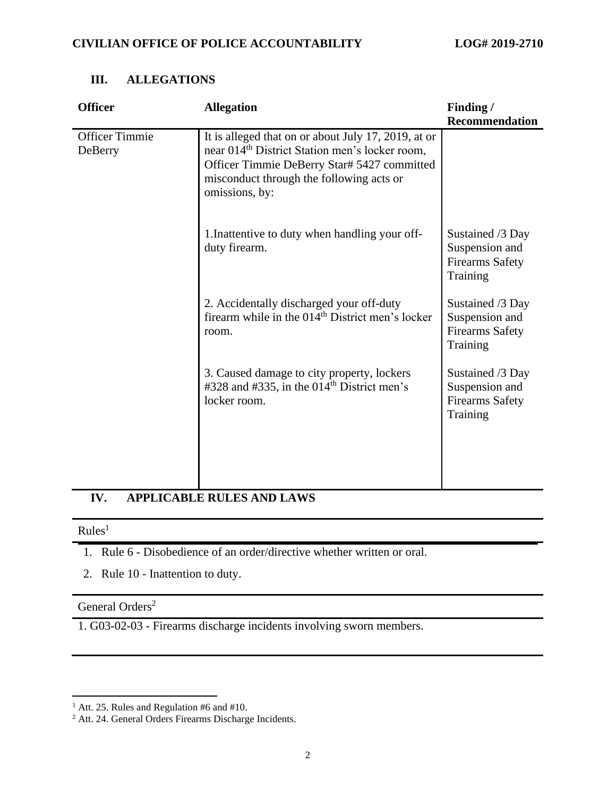| <b>Officer</b>                   | <b>Allegation</b>                                                                                                                                                                                                              | Finding /                                                                |
|----------------------------------|--------------------------------------------------------------------------------------------------------------------------------------------------------------------------------------------------------------------------------|--------------------------------------------------------------------------|
|                                  |                                                                                                                                                                                                                                | <b>Recommendation</b>                                                    |
| <b>Officer Timmie</b><br>DeBerry | It is alleged that on or about July 17, 2019, at or<br>near 014 <sup>th</sup> District Station men's locker room,<br>Officer Timmie DeBerry Star# 5427 committed<br>misconduct through the following acts or<br>omissions, by: |                                                                          |
|                                  | 1. Inattentive to duty when handling your off-<br>duty firearm.                                                                                                                                                                | Sustained /3 Day<br>Suspension and<br><b>Firearms Safety</b><br>Training |
|                                  | 2. Accidentally discharged your off-duty<br>firearm while in the 014 <sup>th</sup> District men's locker<br>room.                                                                                                              | Sustained /3 Day<br>Suspension and<br><b>Firearms Safety</b><br>Training |
|                                  | 3. Caused damage to city property, lockers<br>#328 and #335, in the $014th$ District men's<br>locker room.                                                                                                                     | Sustained /3 Day<br>Suspension and<br><b>Firearms Safety</b><br>Training |
|                                  |                                                                                                                                                                                                                                |                                                                          |

# **III. ALLEGATIONS**

# **IV. APPLICABLE RULES AND LAWS**

# $Rules<sup>1</sup>$

- 1. Rule 6 Disobedience of an order/directive whether written or oral.
- 2. Rule 10 Inattention to duty.

# General Orders<sup>2</sup>

1. G03-02-03 - Firearms discharge incidents involving sworn members.

 $1$  Att. 25. Rules and Regulation #6 and #10.

 $2<sup>2</sup>$  Att. 24. General Orders Firearms Discharge Incidents.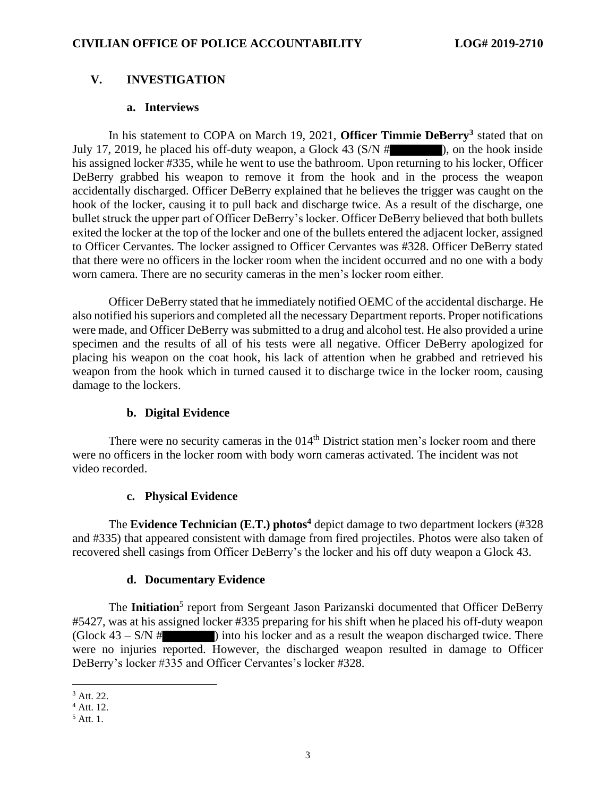# **V. INVESTIGATION**

#### **a. Interviews**

In his statement to COPA on March 19, 2021, **Officer Timmie DeBerry<sup>3</sup>** stated that on July 17, 2019, he placed his off-duty weapon, a Glock 43  $(S/N \# )$ , on the hook inside his assigned locker #335, while he went to use the bathroom. Upon returning to his locker, Officer DeBerry grabbed his weapon to remove it from the hook and in the process the weapon accidentally discharged. Officer DeBerry explained that he believes the trigger was caught on the hook of the locker, causing it to pull back and discharge twice. As a result of the discharge, one bullet struck the upper part of Officer DeBerry's locker. Officer DeBerry believed that both bullets exited the locker at the top of the locker and one of the bullets entered the adjacent locker, assigned to Officer Cervantes. The locker assigned to Officer Cervantes was #328. Officer DeBerry stated that there were no officers in the locker room when the incident occurred and no one with a body worn camera. There are no security cameras in the men's locker room either.

Officer DeBerry stated that he immediately notified OEMC of the accidental discharge. He also notified his superiors and completed all the necessary Department reports. Proper notifications were made, and Officer DeBerry was submitted to a drug and alcohol test. He also provided a urine specimen and the results of all of his tests were all negative. Officer DeBerry apologized for placing his weapon on the coat hook, his lack of attention when he grabbed and retrieved his weapon from the hook which in turned caused it to discharge twice in the locker room, causing damage to the lockers.

## **b. Digital Evidence**

There were no security cameras in the  $014<sup>th</sup>$  District station men's locker room and there were no officers in the locker room with body worn cameras activated. The incident was not video recorded.

#### **c. Physical Evidence**

The **Evidence Technician (E.T.) photos<sup>4</sup>** depict damage to two department lockers (#328 and #335) that appeared consistent with damage from fired projectiles. Photos were also taken of recovered shell casings from Officer DeBerry's the locker and his off duty weapon a Glock 43.

#### **d. Documentary Evidence**

The Initiation<sup>5</sup> report from Sergeant Jason Parizanski documented that Officer DeBerry #5427, was at his assigned locker #335 preparing for his shift when he placed his off-duty weapon  $(Glock 43 - S/N \#$  ) into his locker and as a result the weapon discharged twice. There were no injuries reported. However, the discharged weapon resulted in damage to Officer DeBerry's locker #335 and Officer Cervantes's locker #328.

<sup>3</sup> Att. 22.

<sup>4</sup> Att. 12.

 $<sup>5</sup>$  Att. 1.</sup>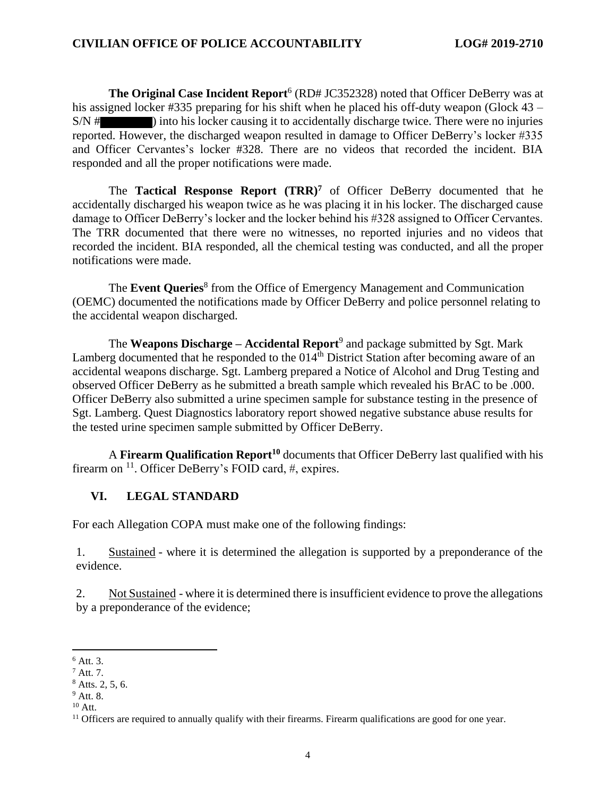**The Original Case Incident Report**<sup>6</sup> (RD# JC352328) noted that Officer DeBerry was at his assigned locker #335 preparing for his shift when he placed his off-duty weapon (Glock 43 – S/N # ) into his locker causing it to accidentally discharge twice. There were no injuries reported. However, the discharged weapon resulted in damage to Officer DeBerry's locker #335 and Officer Cervantes's locker #328. There are no videos that recorded the incident. BIA responded and all the proper notifications were made.

The **Tactical Response Report (TRR)<sup>7</sup>** of Officer DeBerry documented that he accidentally discharged his weapon twice as he was placing it in his locker. The discharged cause damage to Officer DeBerry's locker and the locker behind his #328 assigned to Officer Cervantes. The TRR documented that there were no witnesses, no reported injuries and no videos that recorded the incident. BIA responded, all the chemical testing was conducted, and all the proper notifications were made.

The **Event Queries**<sup>8</sup> from the Office of Emergency Management and Communication (OEMC) documented the notifications made by Officer DeBerry and police personnel relating to the accidental weapon discharged.

The **Weapons Discharge – Accidental Report**<sup>9</sup> and package submitted by Sgt. Mark Lamberg documented that he responded to the  $014<sup>th</sup>$  District Station after becoming aware of an accidental weapons discharge. Sgt. Lamberg prepared a Notice of Alcohol and Drug Testing and observed Officer DeBerry as he submitted a breath sample which revealed his BrAC to be .000. Officer DeBerry also submitted a urine specimen sample for substance testing in the presence of Sgt. Lamberg. Quest Diagnostics laboratory report showed negative substance abuse results for the tested urine specimen sample submitted by Officer DeBerry.

A **Firearm Qualification Report<sup>10</sup>** documents that Officer DeBerry last qualified with his firearm on <sup>11</sup>. Officer DeBerry's FOID card, #, expires.

## **VI. LEGAL STANDARD**

For each Allegation COPA must make one of the following findings:

1. Sustained - where it is determined the allegation is supported by a preponderance of the evidence.

2. Not Sustained - where it is determined there is insufficient evidence to prove the allegations by a preponderance of the evidence;

 $10$  Att.

<sup>6</sup> Att. 3.

<sup>7</sup> Att. 7.

 $8$  Atts. 2, 5, 6.

 $9$  Att. 8.

<sup>&</sup>lt;sup>11</sup> Officers are required to annually qualify with their firearms. Firearm qualifications are good for one year.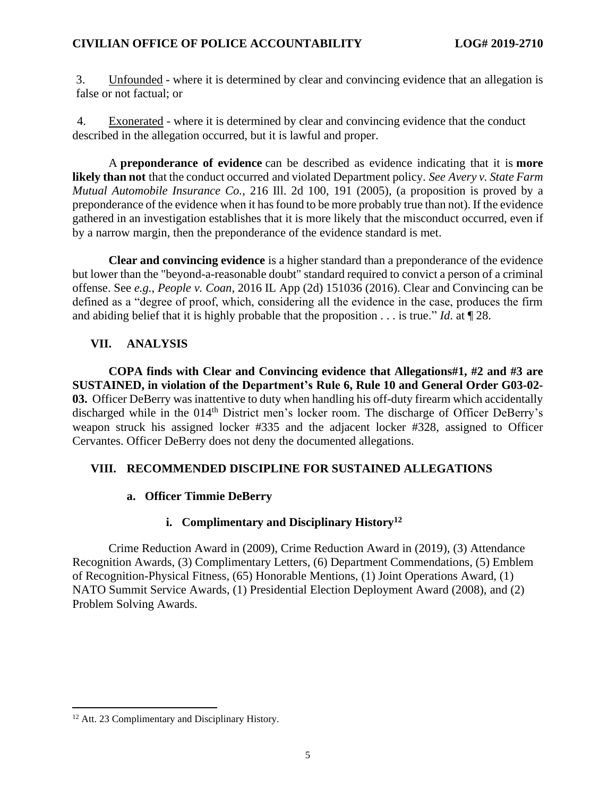3. Unfounded - where it is determined by clear and convincing evidence that an allegation is false or not factual; or

4. Exonerated - where it is determined by clear and convincing evidence that the conduct described in the allegation occurred, but it is lawful and proper.

A **preponderance of evidence** can be described as evidence indicating that it is **more likely than not** that the conduct occurred and violated Department policy. *See Avery v. State Farm Mutual Automobile Insurance Co.*, 216 Ill. 2d 100, 191 (2005), (a proposition is proved by a preponderance of the evidence when it has found to be more probably true than not). If the evidence gathered in an investigation establishes that it is more likely that the misconduct occurred, even if by a narrow margin, then the preponderance of the evidence standard is met.

**Clear and convincing evidence** is a higher standard than a preponderance of the evidence but lower than the "beyond-a-reasonable doubt" standard required to convict a person of a criminal offense. See *e.g.*, *People v. Coan*, 2016 IL App (2d) 151036 (2016). Clear and Convincing can be defined as a "degree of proof, which, considering all the evidence in the case, produces the firm and abiding belief that it is highly probable that the proposition . . . is true." *Id*. at ¶ 28.

# **VII. ANALYSIS**

**COPA finds with Clear and Convincing evidence that Allegations#1, #2 and #3 are SUSTAINED, in violation of the Department's Rule 6, Rule 10 and General Order G03-02- 03.** Officer DeBerry was inattentive to duty when handling his off-duty firearm which accidentally discharged while in the 014<sup>th</sup> District men's locker room. The discharge of Officer DeBerry's weapon struck his assigned locker #335 and the adjacent locker #328, assigned to Officer Cervantes. Officer DeBerry does not deny the documented allegations.

## **VIII. RECOMMENDED DISCIPLINE FOR SUSTAINED ALLEGATIONS**

# **a. Officer Timmie DeBerry**

# **i. Complimentary and Disciplinary History<sup>12</sup>**

Crime Reduction Award in (2009), Crime Reduction Award in (2019), (3) Attendance Recognition Awards, (3) Complimentary Letters, (6) Department Commendations, (5) Emblem of Recognition-Physical Fitness, (65) Honorable Mentions, (1) Joint Operations Award, (1) NATO Summit Service Awards, (1) Presidential Election Deployment Award (2008), and (2) Problem Solving Awards.

<sup>&</sup>lt;sup>12</sup> Att. 23 Complimentary and Disciplinary History.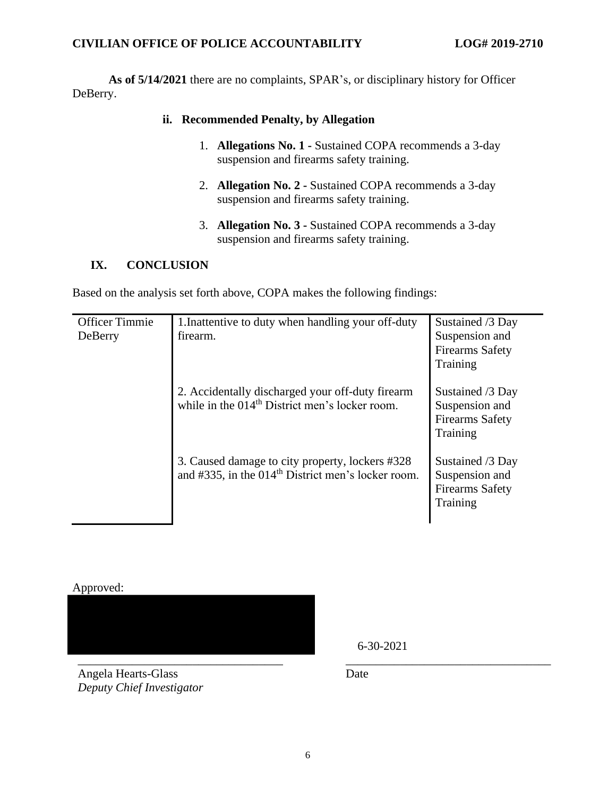#### **CIVILIAN OFFICE OF POLICE ACCOUNTABILITY LOG# 2019-2710**

**As of 5/14/2021** there are no complaints, SPAR's, or disciplinary history for Officer DeBerry.

#### **ii. Recommended Penalty, by Allegation**

- 1. **Allegations No. 1 -** Sustained COPA recommends a 3-day suspension and firearms safety training.
- 2. **Allegation No. 2 -** Sustained COPA recommends a 3-day suspension and firearms safety training.
- 3. **Allegation No. 3 -** Sustained COPA recommends a 3-day suspension and firearms safety training.

#### **IX. CONCLUSION**

Based on the analysis set forth above, COPA makes the following findings:

| <b>Officer Timmie</b><br>DeBerry | 1. Inattentive to duty when handling your off-duty<br>firearm.                                                    | Sustained /3 Day<br>Suspension and<br><b>Firearms Safety</b><br>Training |
|----------------------------------|-------------------------------------------------------------------------------------------------------------------|--------------------------------------------------------------------------|
|                                  | 2. Accidentally discharged your off-duty firearm<br>while in the 014 <sup>th</sup> District men's locker room.    | Sustained /3 Day<br>Suspension and<br><b>Firearms Safety</b><br>Training |
|                                  | 3. Caused damage to city property, lockers #328<br>and #335, in the 014 <sup>th</sup> District men's locker room. | Sustained /3 Day<br>Suspension and<br><b>Firearms Safety</b><br>Training |

Approved:

Angela Hearts-Glass *Deputy Chief Investigator* 6-30-2021

Date

\_\_\_\_\_\_\_\_\_\_\_\_\_\_\_\_\_\_\_\_\_\_\_\_\_\_\_\_\_\_\_\_\_\_ \_\_\_\_\_\_\_\_\_\_\_\_\_\_\_\_\_\_\_\_\_\_\_\_\_\_\_\_\_\_\_\_\_\_